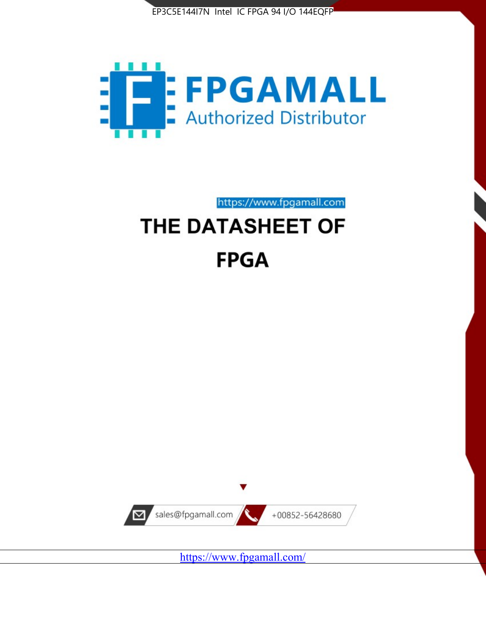



https://www.fpgamall.com THE DATASHEET OF

# **FPGA**



<https://www.fpgamall.com/>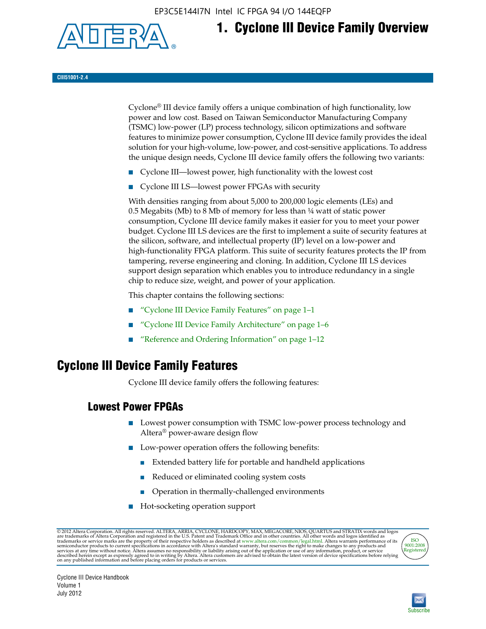EP3C5E144I7N Intel IC FPGA 94 I/O 144EQFP



## **1. Cyclone III Device Family Overview**

#### **CIII51001-2.4**

Cyclone® III device family offers a unique combination of high functionality, low power and low cost. Based on Taiwan Semiconductor Manufacturing Company (TSMC) low-power (LP) process technology, silicon optimizations and software features to minimize power consumption, Cyclone III device family provides the ideal solution for your high-volume, low-power, and cost-sensitive applications. To address the unique design needs, Cyclone III device family offers the following two variants:

- Cyclone III—lowest power, high functionality with the lowest cost
- Cyclone III LS—lowest power FPGAs with security

With densities ranging from about 5,000 to 200,000 logic elements (LEs) and 0.5 Megabits (Mb) to 8 Mb of memory for less than ¼ watt of static power consumption, Cyclone III device family makes it easier for you to meet your power budget. Cyclone III LS devices are the first to implement a suite of security features at the silicon, software, and intellectual property (IP) level on a low-power and high-functionality FPGA platform. This suite of security features protects the IP from tampering, reverse engineering and cloning. In addition, Cyclone III LS devices support design separation which enables you to introduce redundancy in a single chip to reduce size, weight, and power of your application.

This chapter contains the following sections:

- "Cyclone III Device Family Features" on page 1–1
- "Cyclone III Device Family Architecture" on page 1–6
- "Reference and Ordering Information" on page 1–12

## **Cyclone III Device Family Features**

Cyclone III device family offers the following features:

#### **Lowest Power FPGAs**

- Lowest power consumption with TSMC low-power process technology and Altera® power-aware design flow
- Low-power operation offers the following benefits:
	- Extended battery life for portable and handheld applications
	- Reduced or eliminated cooling system costs
	- Operation in thermally-challenged environments
- Hot-socketing operation support

@ 2012 Altera Corporation. All rights reserved. ALTERA, ARRIA, CYCLONE, HARDCOPY, MAX, MEGACORE, NIOS, QUARTUS and STRATIX words and logos are trademarks of Altera Corporation and registered in the U.S. Patent and Trademar



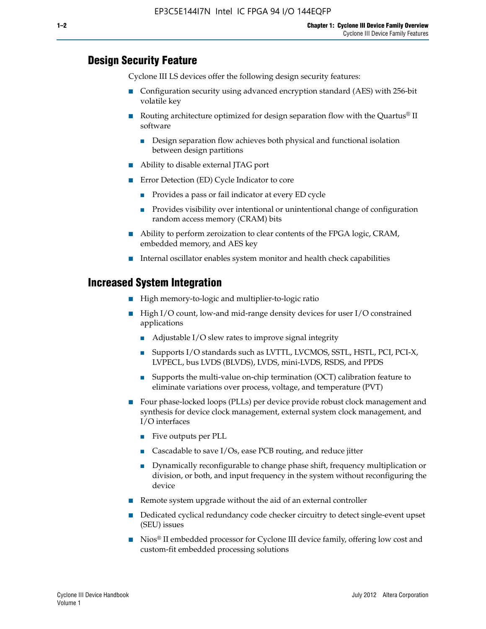#### **Design Security Feature**

Cyclone III LS devices offer the following design security features:

- Configuration security using advanced encryption standard (AES) with 256-bit volatile key
- **■** Routing architecture optimized for design separation flow with the Quartus<sup>®</sup> II software
	- Design separation flow achieves both physical and functional isolation between design partitions
- Ability to disable external JTAG port
- Error Detection (ED) Cycle Indicator to core
	- Provides a pass or fail indicator at every ED cycle
	- Provides visibility over intentional or unintentional change of configuration random access memory (CRAM) bits
- Ability to perform zeroization to clear contents of the FPGA logic, CRAM, embedded memory, and AES key
- Internal oscillator enables system monitor and health check capabilities

#### **Increased System Integration**

- High memory-to-logic and multiplier-to-logic ratio
- High I/O count, low-and mid-range density devices for user I/O constrained applications
	- Adjustable I/O slew rates to improve signal integrity
	- Supports I/O standards such as LVTTL, LVCMOS, SSTL, HSTL, PCI, PCI-X, LVPECL, bus LVDS (BLVDS), LVDS, mini-LVDS, RSDS, and PPDS
	- Supports the multi-value on-chip termination (OCT) calibration feature to eliminate variations over process, voltage, and temperature (PVT)
- Four phase-locked loops (PLLs) per device provide robust clock management and synthesis for device clock management, external system clock management, and I/O interfaces
	- Five outputs per PLL
	- Cascadable to save I/Os, ease PCB routing, and reduce jitter
	- Dynamically reconfigurable to change phase shift, frequency multiplication or division, or both, and input frequency in the system without reconfiguring the device
- Remote system upgrade without the aid of an external controller
- Dedicated cyclical redundancy code checker circuitry to detect single-event upset (SEU) issues
- Nios<sup>®</sup> II embedded processor for Cyclone III device family, offering low cost and custom-fit embedded processing solutions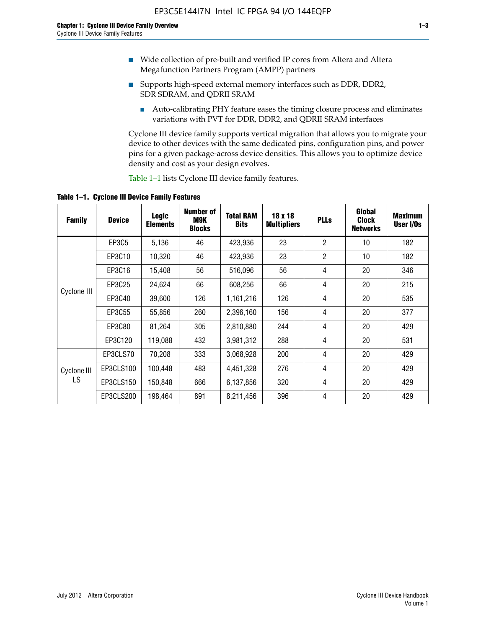- Wide collection of pre-built and verified IP cores from Altera and Altera Megafunction Partners Program (AMPP) partners
- Supports high-speed external memory interfaces such as DDR, DDR2, SDR SDRAM, and QDRII SRAM
	- Auto-calibrating PHY feature eases the timing closure process and eliminates variations with PVT for DDR, DDR2, and QDRII SRAM interfaces

Cyclone III device family supports vertical migration that allows you to migrate your device to other devices with the same dedicated pins, configuration pins, and power pins for a given package-across device densities. This allows you to optimize device density and cost as your design evolves.

Table 1–1 lists Cyclone III device family features.

**Table 1–1. Cyclone III Device Family Features**

| <b>Family</b>     | <b>Device</b> | <b>Logic</b><br><b>Elements</b> | Number of<br>M9K<br><b>Blocks</b> | <b>Total RAM</b><br><b>Bits</b> | 18 x 18<br><b>Multipliers</b> | <b>PLLs</b>    | Global<br><b>Clock</b><br><b>Networks</b> | <b>Maximum</b><br>User I/Os |
|-------------------|---------------|---------------------------------|-----------------------------------|---------------------------------|-------------------------------|----------------|-------------------------------------------|-----------------------------|
|                   | <b>EP3C5</b>  | 5,136                           | 46                                | 423,936                         | 23                            | $\overline{2}$ | 10                                        | 182                         |
|                   | EP3C10        | 10,320                          | 46                                | 423,936                         | 23                            | $\overline{2}$ | 10                                        | 182                         |
|                   | EP3C16        | 15,408                          | 56                                | 516,096                         | 56                            | 4              | 20                                        | 346                         |
| Cyclone III       | EP3C25        | 24,624                          | 66                                | 608,256                         | 66                            | 4              | 20                                        | 215                         |
|                   | EP3C40        | 39,600                          | 126                               | 1,161,216                       | 126                           | 4              | 20                                        | 535                         |
|                   | EP3C55        | 55,856                          | 260                               | 2,396,160                       | 156                           | 4              | 20                                        | 377                         |
|                   | EP3C80        | 81,264                          | 305                               | 2,810,880                       | 244                           | 4              | 20                                        | 429                         |
|                   | EP3C120       | 119,088                         | 432                               | 3,981,312                       | 288                           | 4              | 20                                        | 531                         |
|                   | EP3CLS70      | 70,208                          | 333                               | 3,068,928                       | 200                           | 4              | 20                                        | 429                         |
| Cyclone III<br>LS | EP3CLS100     | 100,448                         | 483                               | 4,451,328                       | 276                           | 4              | 20                                        | 429                         |
|                   | EP3CLS150     | 150,848                         | 666                               | 6,137,856                       | 320                           | 4              | 20                                        | 429                         |
|                   | EP3CLS200     | 198,464                         | 891                               | 8,211,456                       | 396                           | 4              | 20                                        | 429                         |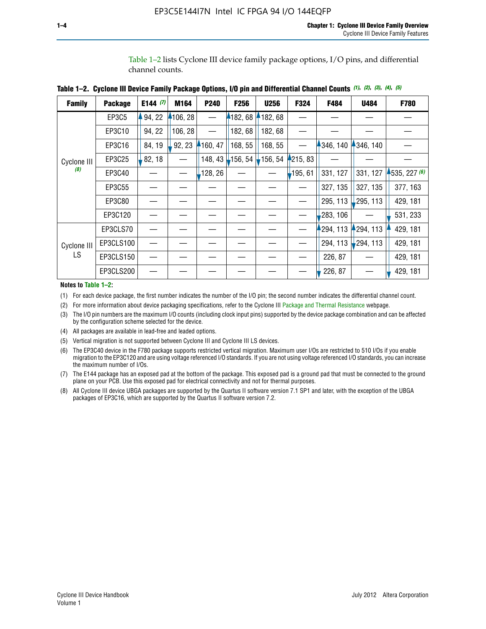Table 1–2 lists Cyclone III device family package options, I/O pins, and differential channel counts.

| <b>Family</b>      | <b>Package</b> | E144 $(7)$ | M164     | P240     | F <sub>256</sub> | <b>U256</b> | F324     | F484      | U484        | <b>F780</b>    |
|--------------------|----------------|------------|----------|----------|------------------|-------------|----------|-----------|-------------|----------------|
|                    | EP3C5          | 94, 22     | 4106, 28 |          | 182, 68          | 4182,68     |          |           |             |                |
|                    | EP3C10         | 94, 22     | 106, 28  |          | 182, 68          | 182, 68     |          |           |             |                |
|                    | EP3C16         | 84, 19     | 92, 23   | 4160, 47 | 168, 55          | 168, 55     |          | 346, 140  | 4346, 140   |                |
| Cyclone III        | EP3C25         | 82, 18     |          | 148, 43  | $-156, 54$       | 156, 54     | 4215, 83 |           |             |                |
| (8)                | EP3C40         |            |          | 128, 26  |                  |             | 195, 61  | 331, 127  | 331, 127    | $-535, 227(6)$ |
|                    | EP3C55         |            |          |          |                  |             |          | 327, 135  | 327, 135    | 377, 163       |
|                    | EP3C80         |            |          |          |                  |             |          | 295, 113  | 295, 113    | 429, 181       |
|                    | EP3C120        |            |          |          |                  |             |          | 283, 106  |             | 531, 233       |
|                    | EP3CLS70       |            |          |          |                  |             |          | 1294, 113 | 294, 113    | 429, 181       |
| Cyclone III<br>LS. | EP3CLS100      |            |          |          |                  |             |          | 294, 113  | $-294, 113$ | 429, 181       |
|                    | EP3CLS150      |            |          |          |                  |             |          | 226, 87   |             | 429, 181       |
|                    | EP3CLS200      |            |          |          |                  |             |          | 226, 87   |             | 429, 181       |

**Table 1–2. Cyclone III Device Family Package Options, I/O pin and Differential Channel Counts** *(1)***,** *(2)***,** *(3)***,** *(4)***,** *(5)*

**Notes to Table 1–2:**

(1) For each device package, the first number indicates the number of the I/O pin; the second number indicates the differential channel count.

(2) For more information about device packaging specifications, refer to the Cyclone III [Package and Thermal Resistance](http://www.altera.com/support/devices/packaging/specifications/pkg-pin/dev-package-listing.jsp?device=Cyclone_III) webpage.

(3) The I/O pin numbers are the maximum I/O counts (including clock input pins) supported by the device package combination and can be affected by the configuration scheme selected for the device.

(4) All packages are available in lead-free and leaded options.

(5) Vertical migration is not supported between Cyclone III and Cyclone III LS devices.

(6) The EP3C40 device in the F780 package supports restricted vertical migration. Maximum user I/Os are restricted to 510 I/Os if you enable migration to the EP3C120 and are using voltage referenced I/O standards. If you are not using voltage referenced I/O standards, you can increase the maximum number of I/Os.

(7) The E144 package has an exposed pad at the bottom of the package. This exposed pad is a ground pad that must be connected to the ground plane on your PCB. Use this exposed pad for electrical connectivity and not for thermal purposes.

(8) All Cyclone III device UBGA packages are supported by the Quartus II software version 7.1 SP1 and later, with the exception of the UBGA packages of EP3C16, which are supported by the Quartus II software version 7.2.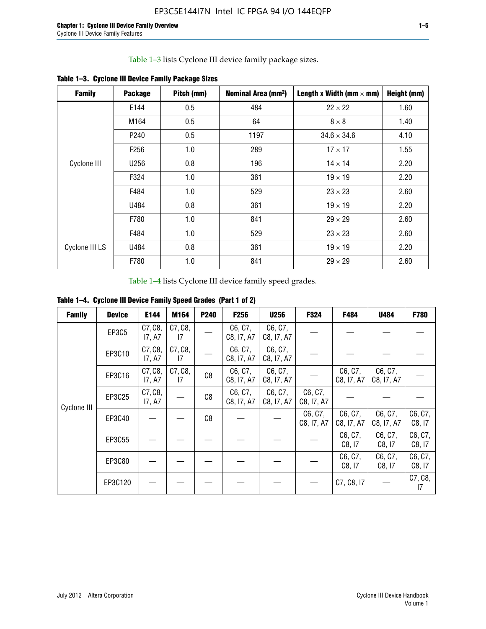Table 1–3 lists Cyclone III device family package sizes.

| <b>Family</b>  | <b>Package</b>   | Pitch (mm) | Nominal Area (mm <sup>2</sup> ) | Length x Width (mm $\times$ mm) | Height (mm) |
|----------------|------------------|------------|---------------------------------|---------------------------------|-------------|
|                | E144             | 0.5        | 484                             | $22 \times 22$                  | 1.60        |
|                | M164             | 0.5        | 64                              | $8 \times 8$                    | 1.40        |
|                | P <sub>240</sub> | 0.5        | 1197                            | $34.6 \times 34.6$              | 4.10        |
|                | F <sub>256</sub> | 1.0        | 289                             | $17 \times 17$                  | 1.55        |
| Cyclone III    | U256             | 0.8        | 196                             | $14 \times 14$                  | 2.20        |
|                | F324             | 1.0        | 361                             | $19 \times 19$                  | 2.20        |
|                | F484             | 1.0        | 529                             | $23 \times 23$                  | 2.60        |
|                | U484             | 0.8        | 361                             | $19 \times 19$                  | 2.20        |
|                | F780             | 1.0        | 841                             | $29 \times 29$                  | 2.60        |
|                | F484             | 1.0        | 529                             | $23 \times 23$                  | 2.60        |
| Cyclone III LS | U484             | 0.8        | 361                             | $19 \times 19$                  | 2.20        |
|                | F780             | 1.0        | 841                             | $29 \times 29$                  | 2.60        |

**Table 1–3. Cyclone III Device Family Package Sizes**

Table 1–4 lists Cyclone III device family speed grades.

**Table 1–4. Cyclone III Device Family Speed Grades (Part 1 of 2)**

| <b>Family</b> | <b>Device</b> | E144              | M164          | <b>P240</b>    | <b>F256</b>           | <b>U256</b>           | F324                  | F484                  | U484                  | <b>F780</b>       |
|---------------|---------------|-------------------|---------------|----------------|-----------------------|-----------------------|-----------------------|-----------------------|-----------------------|-------------------|
|               | EP3C5         | C7, C8,<br>17, A7 | C7, C8,<br>17 |                | C6, C7,<br>C8, I7, A7 | C6, C7,<br>C8, I7, A7 |                       |                       |                       |                   |
|               | EP3C10        | C7, C8,<br>17, A7 | C7, C8,<br>17 |                | C6, C7,<br>C8, I7, A7 | C6, C7,<br>C8, I7, A7 |                       |                       |                       |                   |
|               | EP3C16        | C7, C8,<br>17, A7 | C7, C8,<br>17 | C <sub>8</sub> | C6, C7,<br>C8, I7, A7 | C6, C7,<br>C8, I7, A7 |                       | C6, C7,<br>C8, I7, A7 | C6, C7,<br>C8, I7, A7 |                   |
| Cyclone III   | EP3C25        | C7, C8,<br>17, A7 |               | C8             | C6, C7,<br>C8, I7, A7 | C6, C7,<br>C8, I7, A7 | C6, C7,<br>C8, I7, A7 |                       |                       |                   |
|               | EP3C40        |                   |               | C8             |                       |                       | C6, C7,<br>C8, I7, A7 | C6, C7,<br>C8, I7, A7 | C6, C7,<br>C8, I7, A7 | C6, C7,<br>C8, 17 |
|               | EP3C55        |                   |               |                |                       |                       |                       | C6, C7,<br>C8, I7     | C6, C7,<br>C8, 17     | C6, C7,<br>C8, 17 |
|               | EP3C80        |                   |               |                |                       |                       |                       | C6, C7,<br>C8, 17     | C6, C7,<br>C8, 17     | C6, C7,<br>C8, 17 |
|               | EP3C120       |                   |               |                |                       |                       |                       | C7, C8, I7            |                       | C7, C8,<br>17     |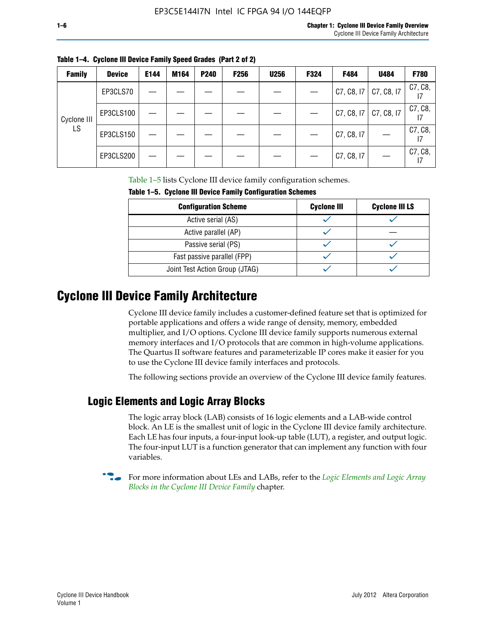| <b>Family</b> | <b>Device</b> | E144 | M164 | <b>P240</b> | <b>F256</b> | <b>U256</b> | F324 | F484       | U484       | F780          |
|---------------|---------------|------|------|-------------|-------------|-------------|------|------------|------------|---------------|
|               | EP3CLS70      |      |      |             |             |             |      | C7, C8, I7 | C7, C8, I7 | C7, C8,<br>17 |
| Cyclone III   | EP3CLS100     |      |      |             |             |             |      | C7, C8, I7 | C7, C8, I7 | C7, C8,       |
| LS.           | EP3CLS150     |      |      |             |             |             |      | C7, C8, I7 |            | C7, C8,<br>17 |
|               | EP3CLS200     |      |      |             |             |             |      | C7, C8, I7 |            | C7, C8,<br>17 |

**Table 1–4. Cyclone III Device Family Speed Grades (Part 2 of 2)**

Table 1–5 lists Cyclone III device family configuration schemes.

| <b>IQUIE 1-3. CYCLUILE III DEVICE FAILIIV CUILILUILATION SCIIENIES</b> |                    |                       |  |  |
|------------------------------------------------------------------------|--------------------|-----------------------|--|--|
| <b>Configuration Scheme</b>                                            | <b>Cyclone III</b> | <b>Cyclone III LS</b> |  |  |
| Active serial (AS)                                                     |                    |                       |  |  |
| Active parallel (AP)                                                   |                    |                       |  |  |
| Passive serial (PS)                                                    |                    |                       |  |  |
| Fast passive parallel (FPP)                                            |                    |                       |  |  |
| Joint Test Action Group (JTAG)                                         |                    |                       |  |  |

**Table 1–5. Cyclone III Device Family Configuration Schemes**

## **Cyclone III Device Family Architecture**

Cyclone III device family includes a customer-defined feature set that is optimized for portable applications and offers a wide range of density, memory, embedded multiplier, and I/O options. Cyclone III device family supports numerous external memory interfaces and I/O protocols that are common in high-volume applications. The Quartus II software features and parameterizable IP cores make it easier for you to use the Cyclone III device family interfaces and protocols.

The following sections provide an overview of the Cyclone III device family features.

#### **Logic Elements and Logic Array Blocks**

The logic array block (LAB) consists of 16 logic elements and a LAB-wide control block. An LE is the smallest unit of logic in the Cyclone III device family architecture. Each LE has four inputs, a four-input look-up table (LUT), a register, and output logic. The four-input LUT is a function generator that can implement any function with four variables.

f For more information about LEs and LABs, refer to the *[Logic Elements and Logic Array](http://www.altera.com/literature/hb/cyc3/cyc3_ciii51002.pdf)  [Blocks in the Cyclone III Device Family](http://www.altera.com/literature/hb/cyc3/cyc3_ciii51002.pdf)* chapter.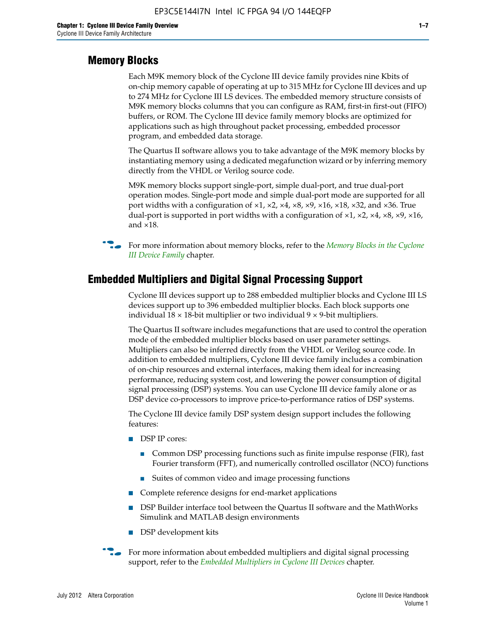#### **Memory Blocks**

Each M9K memory block of the Cyclone III device family provides nine Kbits of on-chip memory capable of operating at up to 315 MHz for Cyclone III devices and up to 274 MHz for Cyclone III LS devices. The embedded memory structure consists of M9K memory blocks columns that you can configure as RAM, first-in first-out (FIFO) buffers, or ROM. The Cyclone III device family memory blocks are optimized for applications such as high throughout packet processing, embedded processor program, and embedded data storage.

The Quartus II software allows you to take advantage of the M9K memory blocks by instantiating memory using a dedicated megafunction wizard or by inferring memory directly from the VHDL or Verilog source code.

M9K memory blocks support single-port, simple dual-port, and true dual-port operation modes. Single-port mode and simple dual-port mode are supported for all port widths with a configuration of  $\times1$ ,  $\times2$ ,  $\times4$ ,  $\times8$ ,  $\times9$ ,  $\times16$ ,  $\times18$ ,  $\times32$ , and  $\times36$ . True dual-port is supported in port widths with a configuration of  $\times$ 1,  $\times$ 2,  $\times$ 4,  $\times$ 8,  $\times$ 9,  $\times$ 16, and ×18.



**For more information about memory blocks, refer to the** *Memory Blocks in the Cyclone [III Device Family](http://www.altera.com/literature/hb/cyc3/cyc3_ciii51004.pdf)* chapter.

#### **Embedded Multipliers and Digital Signal Processing Support**

Cyclone III devices support up to 288 embedded multiplier blocks and Cyclone III LS devices support up to 396 embedded multiplier blocks. Each block supports one individual  $18 \times 18$ -bit multiplier or two individual  $9 \times 9$ -bit multipliers.

The Quartus II software includes megafunctions that are used to control the operation mode of the embedded multiplier blocks based on user parameter settings. Multipliers can also be inferred directly from the VHDL or Verilog source code. In addition to embedded multipliers, Cyclone III device family includes a combination of on-chip resources and external interfaces, making them ideal for increasing performance, reducing system cost, and lowering the power consumption of digital signal processing (DSP) systems. You can use Cyclone III device family alone or as DSP device co-processors to improve price-to-performance ratios of DSP systems.

The Cyclone III device family DSP system design support includes the following features:

- DSP IP cores:
	- Common DSP processing functions such as finite impulse response (FIR), fast Fourier transform (FFT), and numerically controlled oscillator (NCO) functions
	- Suites of common video and image processing functions
- Complete reference designs for end-market applications
- DSP Builder interface tool between the Quartus II software and the MathWorks Simulink and MATLAB design environments
- DSP development kits
- For more information about embedded multipliers and digital signal processing support, refer to the *[Embedded Multipliers in Cyclone III Devices](http://www.altera.com/literature/hb/cyc3/cyc3_ciii51005.pdf)* chapter.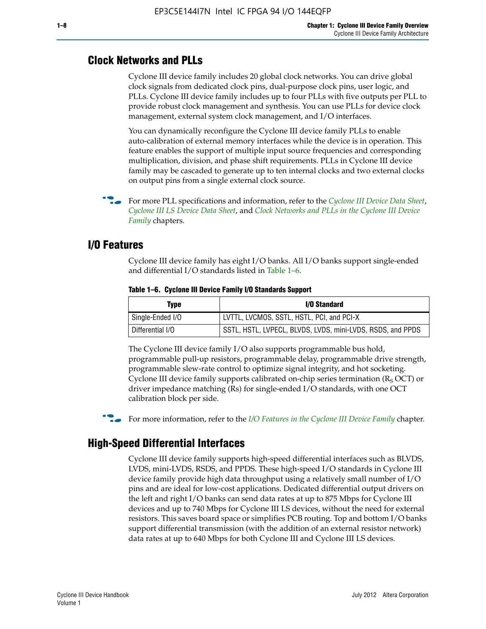#### **Clock Networks and PLLs**

Cyclone III device family includes 20 global clock networks. You can drive global clock signals from dedicated clock pins, dual-purpose clock pins, user logic, and PLLs. Cyclone III device family includes up to four PLLs with five outputs per PLL to provide robust clock management and synthesis. You can use PLLs for device clock management, external system clock management, and I/O interfaces.

You can dynamically reconfigure the Cyclone III device family PLLs to enable auto-calibration of external memory interfaces while the device is in operation. This feature enables the support of multiple input source frequencies and corresponding multiplication, division, and phase shift requirements. PLLs in Cyclone III device family may be cascaded to generate up to ten internal clocks and two external clocks on output pins from a single external clock source.

**For more PLL specifications and information, refer to the** *[Cyclone III Device Data Sheet](http://www.altera.com/literature/hb/cyc3/cyc3_ciii52001.pdf)***,** *[Cyclone III LS Device Data Sheet](http://www.altera.com/literature/hb/cyc3/cyc3_ciii52002.pdf)*, and *[Clock Networks and PLLs in the Cyclone III Device](http://www.altera.com/literature/hb/cyc3/cyc3_ciii51006.pdf)  [Family](http://www.altera.com/literature/hb/cyc3/cyc3_ciii51006.pdf)* chapters.

#### **I/O Features**

Cyclone III device family has eight I/O banks. All I/O banks support single-ended and differential I/O standards listed in Table 1–6.

| Type             | <b>I/O Standard</b>                                        |
|------------------|------------------------------------------------------------|
| Single-Ended I/O | LVTTL, LVCMOS, SSTL, HSTL, PCI, and PCI-X                  |
| Differential I/O | SSTL, HSTL, LVPECL, BLVDS, LVDS, mini-LVDS, RSDS, and PPDS |

**Table 1–6. Cyclone III Device Family I/O Standards Support** 

The Cyclone III device family I/O also supports programmable bus hold, programmable pull-up resistors, programmable delay, programmable drive strength, programmable slew-rate control to optimize signal integrity, and hot socketing. Cyclone III device family supports calibrated on-chip series termination ( $R_S$  OCT) or driver impedance matching (Rs) for single-ended I/O standards, with one OCT calibration block per side.

For more information, refer to the *[I/O Features in the Cyclone III Device Family](http://www.altera.com/literature/hb/cyc3/cyc3_ciii51007.pdf)* chapter.

#### **High-Speed Differential Interfaces**

Cyclone III device family supports high-speed differential interfaces such as BLVDS, LVDS, mini-LVDS, RSDS, and PPDS. These high-speed I/O standards in Cyclone III device family provide high data throughput using a relatively small number of I/O pins and are ideal for low-cost applications. Dedicated differential output drivers on the left and right I/O banks can send data rates at up to 875 Mbps for Cyclone III devices and up to 740 Mbps for Cyclone III LS devices, without the need for external resistors. This saves board space or simplifies PCB routing. Top and bottom I/O banks support differential transmission (with the addition of an external resistor network) data rates at up to 640 Mbps for both Cyclone III and Cyclone III LS devices.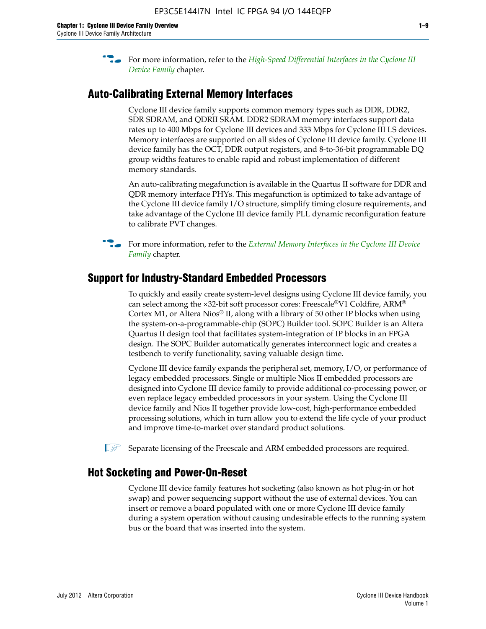**For more information, refer to the** *High-Speed Differential Interfaces in the Cyclone III* $\overline{a}$ *[Device Family](http://www.altera.com/literature/hb/cyc3/cyc3_ciii51008.pdf)* chapter.

#### **Auto-Calibrating External Memory Interfaces**

Cyclone III device family supports common memory types such as DDR, DDR2, SDR SDRAM, and QDRII SRAM. DDR2 SDRAM memory interfaces support data rates up to 400 Mbps for Cyclone III devices and 333 Mbps for Cyclone III LS devices. Memory interfaces are supported on all sides of Cyclone III device family. Cyclone III device family has the OCT, DDR output registers, and 8-to-36-bit programmable DQ group widths features to enable rapid and robust implementation of different memory standards.

An auto-calibrating megafunction is available in the Quartus II software for DDR and QDR memory interface PHYs. This megafunction is optimized to take advantage of the Cyclone III device family I/O structure, simplify timing closure requirements, and take advantage of the Cyclone III device family PLL dynamic reconfiguration feature to calibrate PVT changes.

**For more information, refer to the** *External Memory Interfaces in the Cyclone III Device [Family](http://www.altera.com/literature/hb/cyc3/cyc3_ciii51009.pdf)* chapter.

#### **Support for Industry-Standard Embedded Processors**

To quickly and easily create system-level designs using Cyclone III device family, you can select among the ×32-bit soft processor cores: Freescale®V1 Coldfire, ARM® Cortex M1, or Altera Nios® II, along with a library of 50 other IP blocks when using the system-on-a-programmable-chip (SOPC) Builder tool. SOPC Builder is an Altera Quartus II design tool that facilitates system-integration of IP blocks in an FPGA design. The SOPC Builder automatically generates interconnect logic and creates a testbench to verify functionality, saving valuable design time.

Cyclone III device family expands the peripheral set, memory, I/O, or performance of legacy embedded processors. Single or multiple Nios II embedded processors are designed into Cyclone III device family to provide additional co-processing power, or even replace legacy embedded processors in your system. Using the Cyclone III device family and Nios II together provide low-cost, high-performance embedded processing solutions, which in turn allow you to extend the life cycle of your product and improve time-to-market over standard product solutions.

 $\mathbb{I}$  Separate licensing of the Freescale and ARM embedded processors are required.

#### **Hot Socketing and Power-On-Reset**

Cyclone III device family features hot socketing (also known as hot plug-in or hot swap) and power sequencing support without the use of external devices. You can insert or remove a board populated with one or more Cyclone III device family during a system operation without causing undesirable effects to the running system bus or the board that was inserted into the system.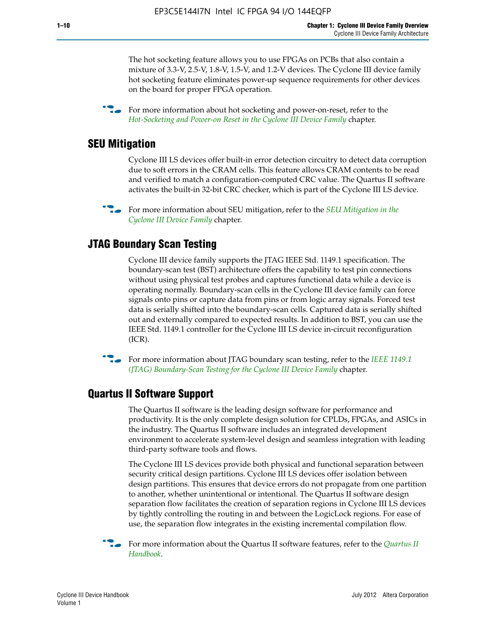The hot socketing feature allows you to use FPGAs on PCBs that also contain a mixture of 3.3-V, 2.5-V, 1.8-V, 1.5-V, and 1.2-V devices. The Cyclone III device family hot socketing feature eliminates power-up sequence requirements for other devices on the board for proper FPGA operation.

For more information about hot socketing and power-on-reset, refer to the *[Hot-Socketing and Power-on Reset in the Cyclone III Device Family](http://www.altera.com/literature/hb/cyc3/cyc3_ciii51011.pdf)* chapter.

#### **SEU Mitigation**

Cyclone III LS devices offer built-in error detection circuitry to detect data corruption due to soft errors in the CRAM cells. This feature allows CRAM contents to be read and verified to match a configuration-computed CRC value. The Quartus II software activates the built-in 32-bit CRC checker, which is part of the Cyclone III LS device.

**For more information about SEU mitigation, refer to the** *SEU Mitigation in the [Cyclone III Device Family](http://www.altera.com/literature/hb/cyc3/cyc3_ciii51013.pdf)* chapter.

#### **JTAG Boundary Scan Testing**

Cyclone III device family supports the JTAG IEEE Std. 1149.1 specification. The boundary-scan test (BST) architecture offers the capability to test pin connections without using physical test probes and captures functional data while a device is operating normally. Boundary-scan cells in the Cyclone III device family can force signals onto pins or capture data from pins or from logic array signals. Forced test data is serially shifted into the boundary-scan cells. Captured data is serially shifted out and externally compared to expected results. In addition to BST, you can use the IEEE Std. 1149.1 controller for the Cyclone III LS device in-circuit reconfiguration (ICR).

**f f**or more information about JTAG boundary scan testing, refer to the *IEEE* 1149.1 *[\(JTAG\) Boundary-Scan Testing for the Cyclone III Device Family](http://www.altera.com/literature/hb/cyc3/cyc3_ciii51014.pdf)* chapter.

#### **Quartus II Software Support**

The Quartus II software is the leading design software for performance and productivity. It is the only complete design solution for CPLDs, FPGAs, and ASICs in the industry. The Quartus II software includes an integrated development environment to accelerate system-level design and seamless integration with leading third-party software tools and flows.

The Cyclone III LS devices provide both physical and functional separation between security critical design partitions. Cyclone III LS devices offer isolation between design partitions. This ensures that device errors do not propagate from one partition to another, whether unintentional or intentional. The Quartus II software design separation flow facilitates the creation of separation regions in Cyclone III LS devices by tightly controlling the routing in and between the LogicLock regions. For ease of use, the separation flow integrates in the existing incremental compilation flow.

f For more information about the Quartus II software features, refer to the *[Quartus II](http://www.altera.com/literature/hb/qts/quartusii_handbook.pdf)  [Handbook](http://www.altera.com/literature/hb/qts/quartusii_handbook.pdf)*.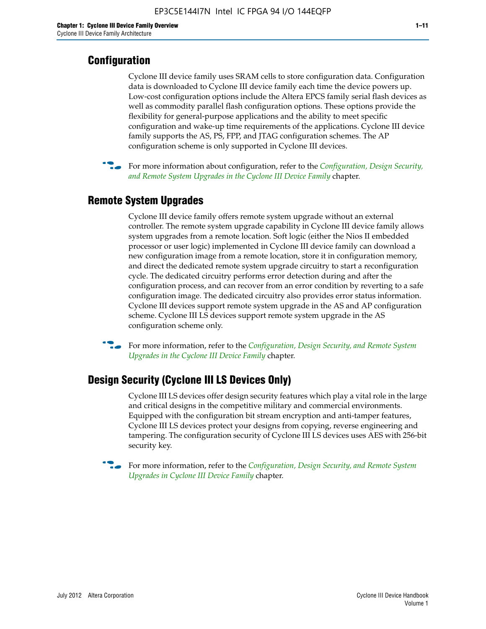### **Configuration**

Cyclone III device family uses SRAM cells to store configuration data. Configuration data is downloaded to Cyclone III device family each time the device powers up. Low-cost configuration options include the Altera EPCS family serial flash devices as well as commodity parallel flash configuration options. These options provide the flexibility for general-purpose applications and the ability to meet specific configuration and wake-up time requirements of the applications. Cyclone III device family supports the AS, PS, FPP, and JTAG configuration schemes. The AP configuration scheme is only supported in Cyclone III devices.



f For more information about configuration, refer to the *[Configuration, Design Security,](http://www.altera.com/literature/hb/cyc3/cyc3_ciii51016.pdf)  [and Remote System Upgrades in the Cyclone III Device Family](http://www.altera.com/literature/hb/cyc3/cyc3_ciii51016.pdf)* chapter.

### **Remote System Upgrades**

Cyclone III device family offers remote system upgrade without an external controller. The remote system upgrade capability in Cyclone III device family allows system upgrades from a remote location. Soft logic (either the Nios II embedded processor or user logic) implemented in Cyclone III device family can download a new configuration image from a remote location, store it in configuration memory, and direct the dedicated remote system upgrade circuitry to start a reconfiguration cycle. The dedicated circuitry performs error detection during and after the configuration process, and can recover from an error condition by reverting to a safe configuration image. The dedicated circuitry also provides error status information. Cyclone III devices support remote system upgrade in the AS and AP configuration scheme. Cyclone III LS devices support remote system upgrade in the AS configuration scheme only.

**For more information, refer to the** *Configuration, Design Security, and Remote System [Upgrades in the Cyclone III Device Family](http://www.altera.com/literature/hb/cyc3/cyc3_ciii51016.pdf)* chapter.

#### **Design Security (Cyclone III LS Devices Only)**

Cyclone III LS devices offer design security features which play a vital role in the large and critical designs in the competitive military and commercial environments. Equipped with the configuration bit stream encryption and anti-tamper features, Cyclone III LS devices protect your designs from copying, reverse engineering and tampering. The configuration security of Cyclone III LS devices uses AES with 256-bit security key.

f For more information, refer to the *[Configuration, Design Security, and Remote System](http://www.altera.com/literature/hb/cyc3/cyc3_ciii51016.pdf)  [Upgrades in Cyclone III Device Family](http://www.altera.com/literature/hb/cyc3/cyc3_ciii51016.pdf)* chapter.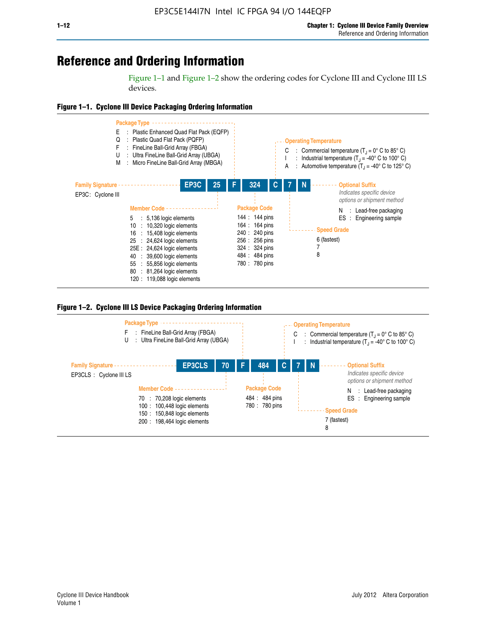## **Reference and Ordering Information**

Figure 1–1 and Figure 1–2 show the ordering codes for Cyclone III and Cyclone III LS devices.







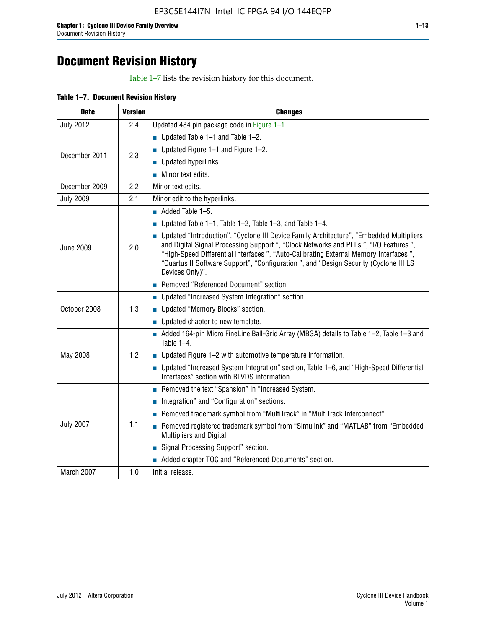# **Document Revision History**

Table 1–7 lists the revision history for this document.

|  | Table 1-7. Document Revision History |  |  |  |
|--|--------------------------------------|--|--|--|
|--|--------------------------------------|--|--|--|

| <b>Date</b>      | <b>Version</b> | <b>Changes</b>                                                                                                                                                                                                                                                                                                                                                                          |
|------------------|----------------|-----------------------------------------------------------------------------------------------------------------------------------------------------------------------------------------------------------------------------------------------------------------------------------------------------------------------------------------------------------------------------------------|
| <b>July 2012</b> | 2.4            | Updated 484 pin package code in Figure 1-1.                                                                                                                                                                                                                                                                                                                                             |
|                  |                | ■ Updated Table $1-1$ and Table $1-2$ .                                                                                                                                                                                                                                                                                                                                                 |
| December 2011    | 2.3            | ■ Updated Figure $1-1$ and Figure $1-2$ .                                                                                                                                                                                                                                                                                                                                               |
|                  |                | Updated hyperlinks.                                                                                                                                                                                                                                                                                                                                                                     |
|                  |                | Minor text edits.                                                                                                                                                                                                                                                                                                                                                                       |
| December 2009    | 2.2            | Minor text edits.                                                                                                                                                                                                                                                                                                                                                                       |
| <b>July 2009</b> | 2.1            | Minor edit to the hyperlinks.                                                                                                                                                                                                                                                                                                                                                           |
|                  |                | $\blacksquare$ Added Table 1-5.                                                                                                                                                                                                                                                                                                                                                         |
|                  |                | ■ Updated Table 1–1, Table 1–2, Table 1–3, and Table 1–4.                                                                                                                                                                                                                                                                                                                               |
| <b>June 2009</b> | 2.0            | • Updated "Introduction", "Cyclone III Device Family Architecture", "Embedded Multipliers<br>and Digital Signal Processing Support ", "Clock Networks and PLLs ", "I/O Features ",<br>"High-Speed Differential Interfaces ", "Auto-Calibrating External Memory Interfaces",<br>"Quartus II Software Support", "Configuration ", and "Design Security (Cyclone III LS<br>Devices Only)". |
|                  |                | Removed "Referenced Document" section.                                                                                                                                                                                                                                                                                                                                                  |
|                  |                | • Updated "Increased System Integration" section.                                                                                                                                                                                                                                                                                                                                       |
| October 2008     | 1.3            | Updated "Memory Blocks" section.                                                                                                                                                                                                                                                                                                                                                        |
|                  |                | • Updated chapter to new template.                                                                                                                                                                                                                                                                                                                                                      |
|                  |                | Added 164-pin Micro FineLine Ball-Grid Array (MBGA) details to Table 1-2, Table 1-3 and<br>Table $1-4$ .                                                                                                                                                                                                                                                                                |
| May 2008         | 1.2            | $\blacksquare$ Updated Figure 1-2 with automotive temperature information.                                                                                                                                                                                                                                                                                                              |
|                  |                | • Updated "Increased System Integration" section, Table 1-6, and "High-Speed Differential<br>Interfaces" section with BLVDS information.                                                                                                                                                                                                                                                |
|                  |                | Removed the text "Spansion" in "Increased System.                                                                                                                                                                                                                                                                                                                                       |
|                  |                | Integration" and "Configuration" sections.                                                                                                                                                                                                                                                                                                                                              |
| <b>July 2007</b> |                | Removed trademark symbol from "MultiTrack" in "MultiTrack Interconnect".                                                                                                                                                                                                                                                                                                                |
|                  | 1.1            | Removed registered trademark symbol from "Simulink" and "MATLAB" from "Embedded<br>Multipliers and Digital.                                                                                                                                                                                                                                                                             |
|                  |                | Signal Processing Support" section.                                                                                                                                                                                                                                                                                                                                                     |
|                  |                | Added chapter TOC and "Referenced Documents" section.                                                                                                                                                                                                                                                                                                                                   |
| March 2007       | 1.0            | Initial release.                                                                                                                                                                                                                                                                                                                                                                        |